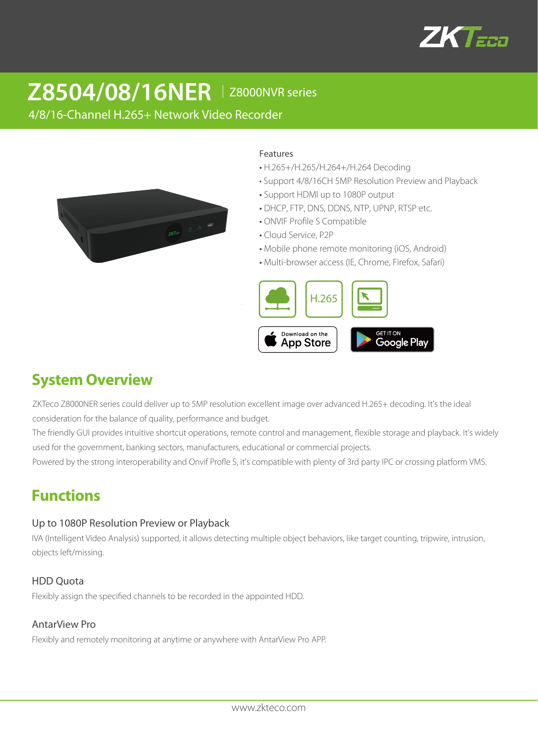

# **Z8504/08/16NER** │ Z8000NVR series

4/8/16-Channel H.265+ Network Video Recorder



#### Features

- H.265+/H.265/H.264+/H.264 Decoding
- Support 4/8/16CH 5MP Resolution Preview and Playback
- Support HDMI up to 1080P output
- DHCP, FTP, DNS, DDNS, NTP, UPNP, RTSP etc.
- ONVIF Profile S Compatible
- Cloud Service, P2P
- Mobile phone remote monitoring (iOS, Android)
- Multi-browser access (IE, Chrome, Firefox, Safari)



# **System Overview**

ZKTeco Z8000NER series could deliver up to 5MP resolution excellent image over advanced H.265+ decoding. It's the ideal consideration for the balance of quality, performance and budget.

The friendly GUI provides intuitive shortcut operations, remote control and management, flexible storage and playback. It's widely used for the government, banking sectors, manufacturers, educational or commercial projects.

Powered by the strong interoperability and Onvif Profle S, it's compatible with plenty of 3rd party IPC or crossing platform VMS.

# **Functions**

#### Up to 1080P Resolution Preview or Playback

IVA (Intelligent Video Analysis) supported, it allows detecting multiple object behaviors, like target counting, tripwire, intrusion, objects left/missing.

#### HDD Quota

Flexibly assign the specified channels to be recorded in the appointed HDD.

#### AntarView Pro

Flexibly and remotely monitoring at anytime or anywhere with AntarView Pro APP.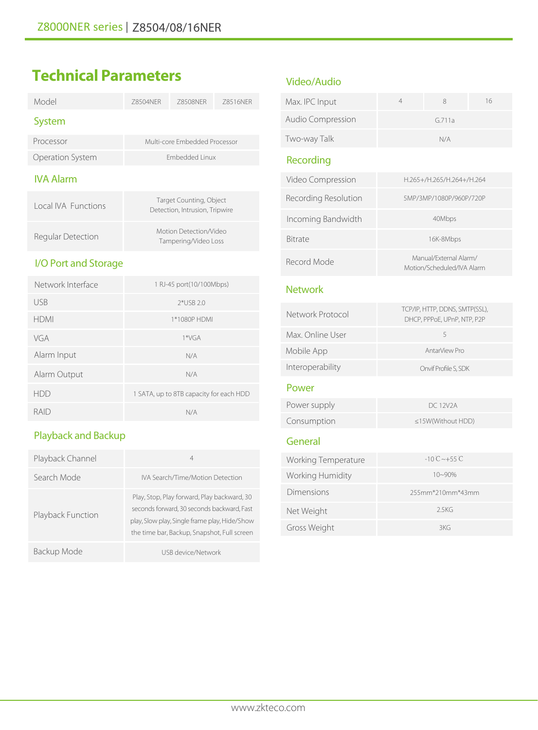| Model                      | 78504NFR              | 78508NFR                                                  | 78516NFR |
|----------------------------|-----------------------|-----------------------------------------------------------|----------|
| System                     |                       |                                                           |          |
| Processor                  |                       | Multi-core Embedded Processor                             |          |
| Operation System           | <b>Fmbedded Linux</b> |                                                           |          |
| <b>IVA Alarm</b>           |                       |                                                           |          |
| <b>Local IVA Functions</b> |                       | Target Counting, Object<br>Detection, Intrusion, Tripwire |          |
| Regular Detection          |                       | Motion Detection/Video<br>Tampering/Video Loss            |          |
| I/O Port and Storage       |                       |                                                           |          |
| Network Interface          |                       | 1 RJ-45 port(10/100Mbps)                                  |          |
| USB                        |                       | $2*$ USB 2.0                                              |          |
|                            |                       |                                                           |          |

# **Technical Parameters**

| Network Interface | 1 RJ-45 port(10/100Mbps)                |
|-------------------|-----------------------------------------|
| <b>USB</b>        | $2*USB 2.0$                             |
| <b>HDMI</b>       | 1*1080P HDMI                            |
| VGA               | $1*VGA$                                 |
| Alarm Input       | N/A                                     |
| Alarm Output      | N/A                                     |
| HDD               | 1 SATA, up to 8TB capacity for each HDD |
| RAIL)             | N/A                                     |

# Playback and Backup

| Playback Channel  | 4                                                                                                                                                                                         |
|-------------------|-------------------------------------------------------------------------------------------------------------------------------------------------------------------------------------------|
| Search Mode       | IVA Search/Time/Motion Detection                                                                                                                                                          |
| Playback Function | Play, Stop, Play forward, Play backward, 30<br>seconds forward, 30 seconds backward, Fast<br>play, Slow play, Single frame play, Hide/Show<br>the time bar, Backup, Snapshot, Full screen |
| Backup Mode       | USB device/Network                                                                                                                                                                        |

### Video/Audio

| Max. IPC Input           |        | 16 |
|--------------------------|--------|----|
| <b>Audio Compression</b> | G.711a |    |
| Two-way Talk             | N/A    |    |

### Recording

| Video Compression    | H.265+/H.265/H.264+/H.264                            |
|----------------------|------------------------------------------------------|
| Recording Resolution | 5MP/3MP/1080P/960P/720P                              |
| Incoming Bandwidth   | 40Mbps                                               |
| <b>Bitrate</b>       | 16K-8Mbps                                            |
| Record Mode          | Manual/External Alarm/<br>Motion/Scheduled/IVA Alarm |

#### **Network**

| Network Protocol | TCP/IP, HTTP, DDNS, SMTP(SSL),<br>DHCP, PPPoE, UPnP, NTP, P2P |
|------------------|---------------------------------------------------------------|
| Max. Online User | 5                                                             |
| Mobile App       | AntarView Pro                                                 |
| Interoperability | Onvif Profile S, SDK                                          |

#### Power

| Power supply | DC 12V2A                |
|--------------|-------------------------|
| Consumption  | $\leq$ 15W(Without HDD) |

## General

| Working Temperature | $-10C \sim +55C$ |
|---------------------|------------------|
| Working Humidity    | $10 - 90%$       |
| Dimensions          | 255mm*210mm*43mm |
| Net Weight          | 25KG             |
| Gross Weight        | 3KG              |